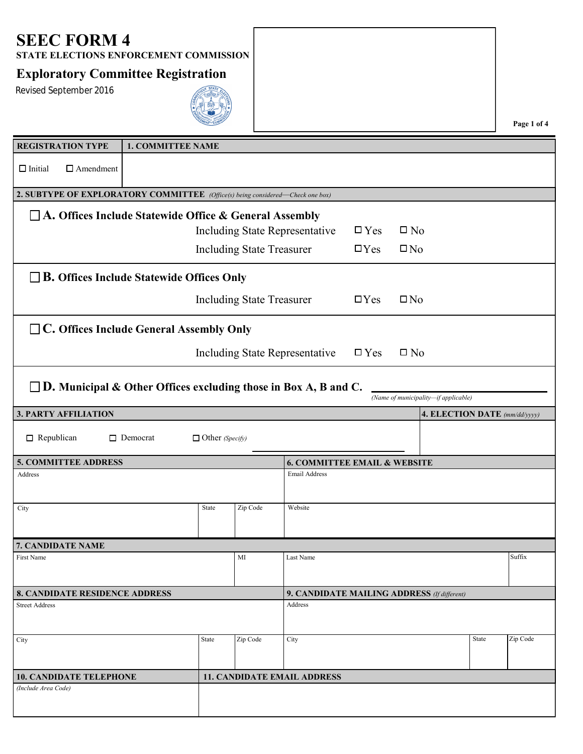**STATE ELECTIONS ENFORCEMENT COMMISSION**

#### **Exploratory Committee Registration**

Revised September 2016



**Page 1 of 4**

| <b>REGISTRATION TYPE</b>                                                                                          | <b>1. COMMITTEE NAME</b> |                        |                                  |                                         |               |                                             |                               |          |
|-------------------------------------------------------------------------------------------------------------------|--------------------------|------------------------|----------------------------------|-----------------------------------------|---------------|---------------------------------------------|-------------------------------|----------|
| $\Box$ Initial<br>$\Box$ Amendment                                                                                |                          |                        |                                  |                                         |               |                                             |                               |          |
| 2. SUBTYPE OF EXPLORATORY COMMITTEE (Office(s) being considered-Check one box)                                    |                          |                        |                                  |                                         |               |                                             |                               |          |
| $\Box$ A. Offices Include Statewide Office & General Assembly                                                     |                          |                        |                                  |                                         |               |                                             |                               |          |
|                                                                                                                   |                          |                        |                                  | Including State Representative          | $\square$ Yes | $\square$ No                                |                               |          |
|                                                                                                                   |                          |                        | <b>Including State Treasurer</b> |                                         | $\Box$ Yes    | $\square$ No                                |                               |          |
| $\Box$ B. Offices Include Statewide Offices Only                                                                  |                          |                        |                                  |                                         |               |                                             |                               |          |
|                                                                                                                   |                          |                        | <b>Including State Treasurer</b> |                                         | $\Box$ Yes    | $\square$ No                                |                               |          |
| $\Box$ C. Offices Include General Assembly Only                                                                   |                          |                        |                                  |                                         |               |                                             |                               |          |
|                                                                                                                   |                          |                        |                                  | <b>Including State Representative</b>   | $\square$ Yes | $\square$ No                                |                               |          |
| $\square$ D. Municipal & Other Offices excluding those in Box A, B and C.<br>(Name of municipality-if applicable) |                          |                        |                                  |                                         |               |                                             |                               |          |
| <b>3. PARTY AFFILIATION</b>                                                                                       |                          |                        |                                  |                                         |               |                                             | 4. ELECTION DATE (mm/dd/yyyy) |          |
| $\Box$ Republican                                                                                                 | $\Box$ Democrat          | $\Box$ Other (Specify) |                                  |                                         |               |                                             |                               |          |
| <b>5. COMMITTEE ADDRESS</b>                                                                                       |                          |                        |                                  | <b>6. COMMITTEE EMAIL &amp; WEBSITE</b> |               |                                             |                               |          |
| Address                                                                                                           |                          |                        |                                  | Email Address                           |               |                                             |                               |          |
| City                                                                                                              |                          | State                  | Zip Code                         | Website                                 |               |                                             |                               |          |
| 7. CANDIDATE NAME                                                                                                 |                          |                        |                                  |                                         |               |                                             |                               |          |
| First Name                                                                                                        |                          |                        | MI                               | Last Name                               |               |                                             |                               | Suffix   |
| <b>8. CANDIDATE RESIDENCE ADDRESS</b>                                                                             |                          |                        |                                  |                                         |               | 9. CANDIDATE MAILING ADDRESS (If different) |                               |          |
| <b>Street Address</b>                                                                                             |                          |                        |                                  | Address                                 |               |                                             |                               |          |
| City                                                                                                              |                          | <b>State</b>           | Zip Code                         | City                                    |               |                                             | State                         | Zip Code |
| <b>10. CANDIDATE TELEPHONE</b>                                                                                    |                          |                        |                                  | <b>11. CANDIDATE EMAIL ADDRESS</b>      |               |                                             |                               |          |
| (Include Area Code)                                                                                               |                          |                        |                                  |                                         |               |                                             |                               |          |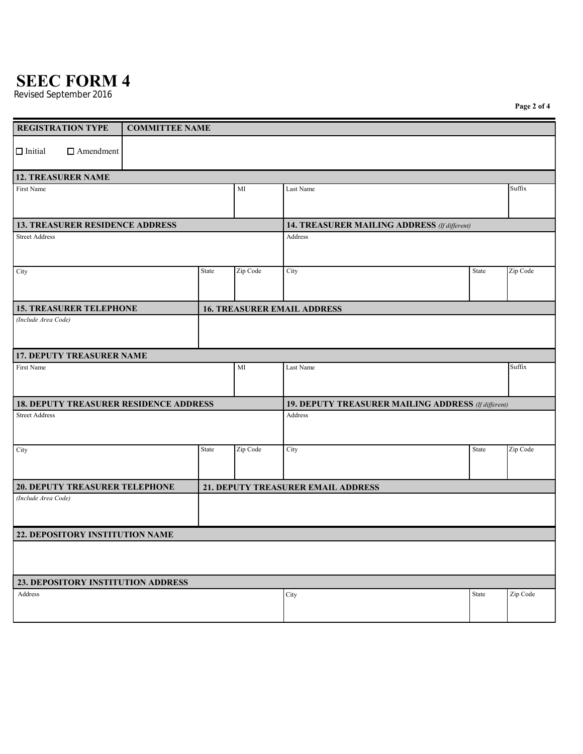Revised September 2016

**Page 2 of 4**

|                                        | <b>REGISTRATION TYPE</b>               | <b>COMMITTEE NAME</b>                         |       |          |                                                     |       |          |  |
|----------------------------------------|----------------------------------------|-----------------------------------------------|-------|----------|-----------------------------------------------------|-------|----------|--|
|                                        |                                        |                                               |       |          |                                                     |       |          |  |
| $\Box$ Initial                         | $\Box$ Amendment                       |                                               |       |          |                                                     |       |          |  |
|                                        | <b>12. TREASURER NAME</b>              |                                               |       |          |                                                     |       |          |  |
| First Name                             |                                        |                                               |       | MI       | Last Name                                           |       | Suffix   |  |
|                                        |                                        |                                               |       |          |                                                     |       |          |  |
| <b>13. TREASURER RESIDENCE ADDRESS</b> |                                        |                                               |       |          | 14. TREASURER MAILING ADDRESS (If different)        |       |          |  |
| <b>Street Address</b>                  |                                        |                                               |       |          | Address                                             |       |          |  |
| City                                   |                                        |                                               | State | Zip Code | City                                                | State | Zip Code |  |
|                                        |                                        |                                               |       |          |                                                     |       |          |  |
|                                        | <b>15. TREASURER TELEPHONE</b>         |                                               |       |          | <b>16. TREASURER EMAIL ADDRESS</b>                  |       |          |  |
| (Include Area Code)                    |                                        |                                               |       |          |                                                     |       |          |  |
|                                        |                                        |                                               |       |          |                                                     |       |          |  |
|                                        | 17. DEPUTY TREASURER NAME              |                                               |       |          |                                                     |       |          |  |
| First Name                             |                                        |                                               |       | MI       | Last Name                                           |       | Suffix   |  |
|                                        |                                        |                                               |       |          |                                                     |       |          |  |
|                                        |                                        | <b>18. DEPUTY TREASURER RESIDENCE ADDRESS</b> |       |          | 19. DEPUTY TREASURER MAILING ADDRESS (If different) |       |          |  |
| <b>Street Address</b>                  |                                        |                                               |       | Address  |                                                     |       |          |  |
|                                        |                                        |                                               |       |          |                                                     |       |          |  |
| City                                   |                                        |                                               | State | Zip Code | City                                                | State | Zip Code |  |
|                                        |                                        |                                               |       |          |                                                     |       |          |  |
|                                        |                                        |                                               |       |          |                                                     |       |          |  |
| (Include Area Code)                    | 20. DEPUTY TREASURER TELEPHONE         |                                               |       |          | 21. DEPUTY TREASURER EMAIL ADDRESS                  |       |          |  |
|                                        |                                        |                                               |       |          |                                                     |       |          |  |
|                                        |                                        |                                               |       |          |                                                     |       |          |  |
|                                        | <b>22. DEPOSITORY INSTITUTION NAME</b> |                                               |       |          |                                                     |       |          |  |
|                                        |                                        |                                               |       |          |                                                     |       |          |  |
|                                        |                                        |                                               |       |          |                                                     |       |          |  |
|                                        |                                        | 23. DEPOSITORY INSTITUTION ADDRESS            |       |          |                                                     |       |          |  |
| Address                                |                                        |                                               |       |          | City                                                | State | Zip Code |  |
|                                        |                                        |                                               |       |          |                                                     |       |          |  |
|                                        |                                        |                                               |       |          |                                                     |       |          |  |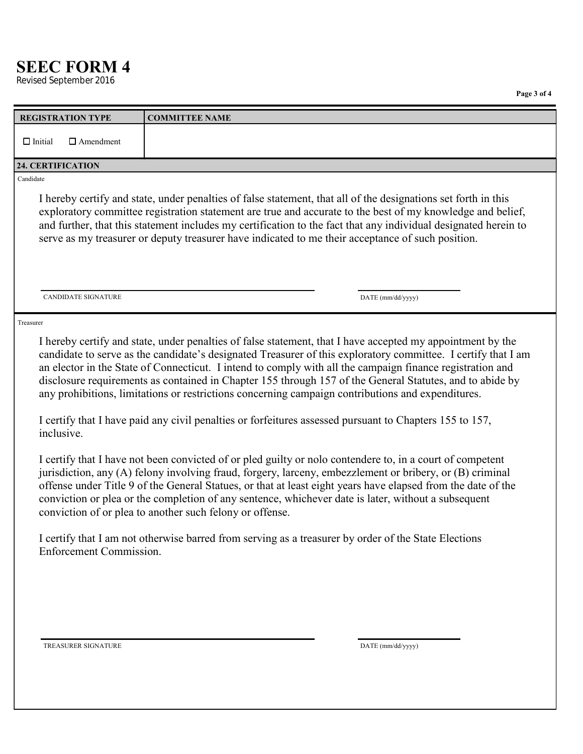**Revised September 2016** 

|                                    | таде о от ч                                                                                                                                                                                                                                                                                                                                                                                                                                                                                                                                                                                                                                                                                                                                                                                                                                                                                                                                                                                                                                                                                                                                                                      |
|------------------------------------|----------------------------------------------------------------------------------------------------------------------------------------------------------------------------------------------------------------------------------------------------------------------------------------------------------------------------------------------------------------------------------------------------------------------------------------------------------------------------------------------------------------------------------------------------------------------------------------------------------------------------------------------------------------------------------------------------------------------------------------------------------------------------------------------------------------------------------------------------------------------------------------------------------------------------------------------------------------------------------------------------------------------------------------------------------------------------------------------------------------------------------------------------------------------------------|
| <b>REGISTRATION TYPE</b>           | <b>COMMITTEE NAME</b>                                                                                                                                                                                                                                                                                                                                                                                                                                                                                                                                                                                                                                                                                                                                                                                                                                                                                                                                                                                                                                                                                                                                                            |
| $\Box$ Initial<br>$\Box$ Amendment |                                                                                                                                                                                                                                                                                                                                                                                                                                                                                                                                                                                                                                                                                                                                                                                                                                                                                                                                                                                                                                                                                                                                                                                  |
|                                    |                                                                                                                                                                                                                                                                                                                                                                                                                                                                                                                                                                                                                                                                                                                                                                                                                                                                                                                                                                                                                                                                                                                                                                                  |
| 24. CERTIFICATION                  |                                                                                                                                                                                                                                                                                                                                                                                                                                                                                                                                                                                                                                                                                                                                                                                                                                                                                                                                                                                                                                                                                                                                                                                  |
| Candidate                          |                                                                                                                                                                                                                                                                                                                                                                                                                                                                                                                                                                                                                                                                                                                                                                                                                                                                                                                                                                                                                                                                                                                                                                                  |
|                                    | I hereby certify and state, under penalties of false statement, that all of the designations set forth in this<br>exploratory committee registration statement are true and accurate to the best of my knowledge and belief,<br>and further, that this statement includes my certification to the fact that any individual designated herein to<br>serve as my treasurer or deputy treasurer have indicated to me their acceptance of such position.                                                                                                                                                                                                                                                                                                                                                                                                                                                                                                                                                                                                                                                                                                                             |
| <b>CANDIDATE SIGNATURE</b>         | DATE (mm/dd/yyyy)                                                                                                                                                                                                                                                                                                                                                                                                                                                                                                                                                                                                                                                                                                                                                                                                                                                                                                                                                                                                                                                                                                                                                                |
| Treasurer                          |                                                                                                                                                                                                                                                                                                                                                                                                                                                                                                                                                                                                                                                                                                                                                                                                                                                                                                                                                                                                                                                                                                                                                                                  |
| inclusive.                         | I hereby certify and state, under penalties of false statement, that I have accepted my appointment by the<br>candidate to serve as the candidate's designated Treasurer of this exploratory committee. I certify that I am<br>an elector in the State of Connecticut. I intend to comply with all the campaign finance registration and<br>disclosure requirements as contained in Chapter 155 through 157 of the General Statutes, and to abide by<br>any prohibitions, limitations or restrictions concerning campaign contributions and expenditures.<br>I certify that I have paid any civil penalties or forfeitures assessed pursuant to Chapters 155 to 157,<br>I certify that I have not been convicted of or pled guilty or nolo contendere to, in a court of competent<br>jurisdiction, any (A) felony involving fraud, forgery, larceny, embezzlement or bribery, or (B) criminal<br>offense under Title 9 of the General Statues, or that at least eight years have elapsed from the date of the<br>conviction or plea or the completion of any sentence, whichever date is later, without a subsequent<br>conviction of or plea to another such felony or offense. |
| <b>Enforcement Commission.</b>     | I certify that I am not otherwise barred from serving as a treasurer by order of the State Elections                                                                                                                                                                                                                                                                                                                                                                                                                                                                                                                                                                                                                                                                                                                                                                                                                                                                                                                                                                                                                                                                             |
| TREASURER SIGNATURE                | DATE (mm/dd/yyyy)                                                                                                                                                                                                                                                                                                                                                                                                                                                                                                                                                                                                                                                                                                                                                                                                                                                                                                                                                                                                                                                                                                                                                                |